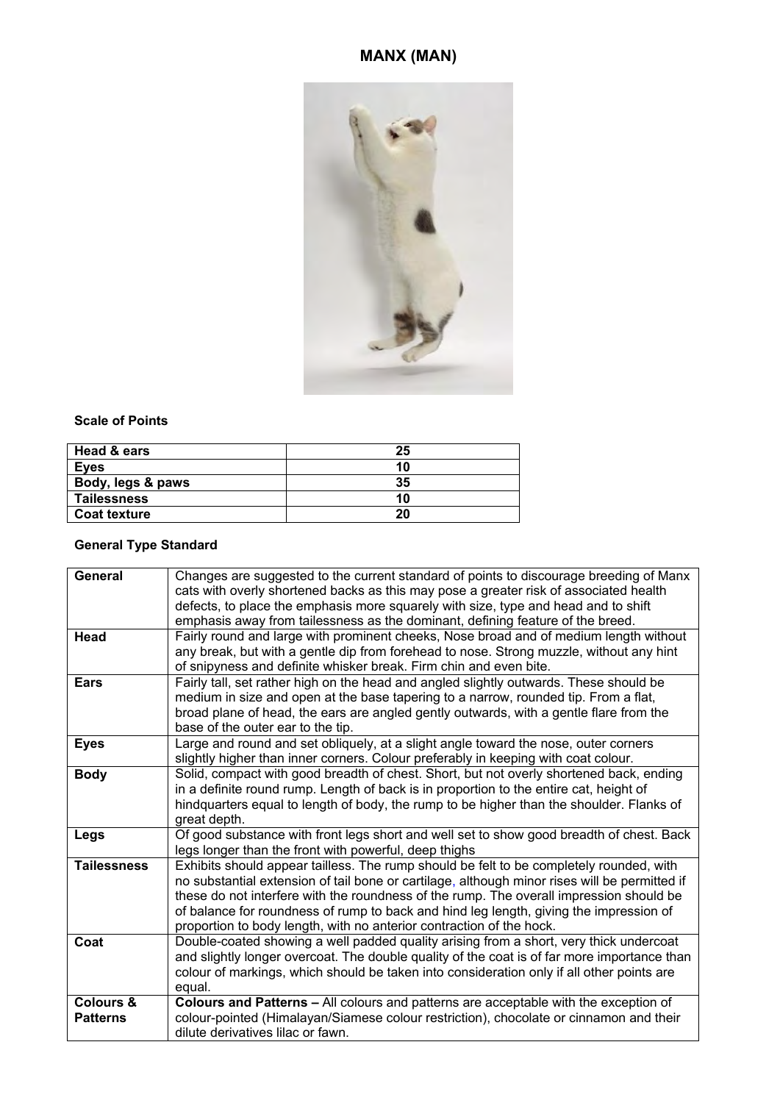# **MANX (MAN)**



### **Scale of Points**

| Head & ears         | 25 |
|---------------------|----|
| <b>Eyes</b>         | 10 |
| Body, legs & paws   | 35 |
| <b>Tailessness</b>  | 10 |
| <b>Coat texture</b> | 20 |

## **General Type Standard**

| <b>General</b><br>Head                  | Changes are suggested to the current standard of points to discourage breeding of Manx<br>cats with overly shortened backs as this may pose a greater risk of associated health<br>defects, to place the emphasis more squarely with size, type and head and to shift<br>emphasis away from tailessness as the dominant, defining feature of the breed.<br>Fairly round and large with prominent cheeks, Nose broad and of medium length without<br>any break, but with a gentle dip from forehead to nose. Strong muzzle, without any hint |
|-----------------------------------------|---------------------------------------------------------------------------------------------------------------------------------------------------------------------------------------------------------------------------------------------------------------------------------------------------------------------------------------------------------------------------------------------------------------------------------------------------------------------------------------------------------------------------------------------|
|                                         | of snipyness and definite whisker break. Firm chin and even bite.                                                                                                                                                                                                                                                                                                                                                                                                                                                                           |
| <b>Ears</b>                             | Fairly tall, set rather high on the head and angled slightly outwards. These should be<br>medium in size and open at the base tapering to a narrow, rounded tip. From a flat,<br>broad plane of head, the ears are angled gently outwards, with a gentle flare from the<br>base of the outer ear to the tip.                                                                                                                                                                                                                                |
| <b>Eyes</b>                             | Large and round and set obliquely, at a slight angle toward the nose, outer corners<br>slightly higher than inner corners. Colour preferably in keeping with coat colour.                                                                                                                                                                                                                                                                                                                                                                   |
| <b>Body</b>                             | Solid, compact with good breadth of chest. Short, but not overly shortened back, ending<br>in a definite round rump. Length of back is in proportion to the entire cat, height of<br>hindquarters equal to length of body, the rump to be higher than the shoulder. Flanks of<br>great depth.                                                                                                                                                                                                                                               |
| Legs                                    | Of good substance with front legs short and well set to show good breadth of chest. Back<br>legs longer than the front with powerful, deep thighs                                                                                                                                                                                                                                                                                                                                                                                           |
| <b>Tailessness</b>                      | Exhibits should appear tailless. The rump should be felt to be completely rounded, with<br>no substantial extension of tail bone or cartilage, although minor rises will be permitted if<br>these do not interfere with the roundness of the rump. The overall impression should be<br>of balance for roundness of rump to back and hind leg length, giving the impression of<br>proportion to body length, with no anterior contraction of the hock.                                                                                       |
| Coat                                    | Double-coated showing a well padded quality arising from a short, very thick undercoat<br>and slightly longer overcoat. The double quality of the coat is of far more importance than<br>colour of markings, which should be taken into consideration only if all other points are<br>equal.                                                                                                                                                                                                                                                |
| <b>Colours &amp;</b><br><b>Patterns</b> | Colours and Patterns - All colours and patterns are acceptable with the exception of<br>colour-pointed (Himalayan/Siamese colour restriction), chocolate or cinnamon and their<br>dilute derivatives lilac or fawn.                                                                                                                                                                                                                                                                                                                         |